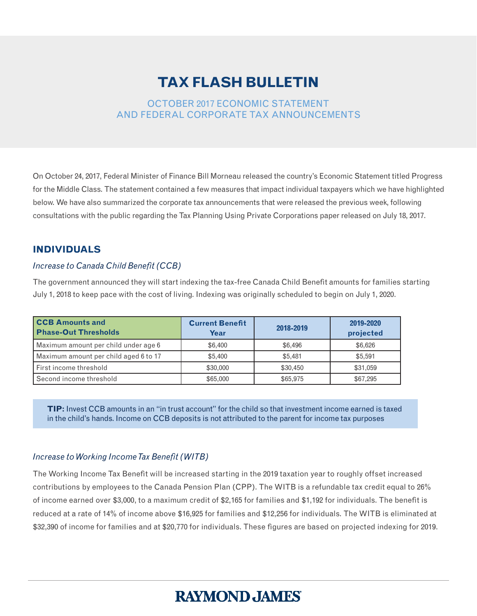## **TAX FLASH BULLETIN**

#### OCTOBER 2017 ECONOMIC STATEMENT AND FEDERAL CORPORATE TAX ANNOUNCEMENTS

On October 24, 2017, Federal Minister of Finance Bill Morneau released the country's Economic Statement titled Progress for the Middle Class. The statement contained a few measures that impact individual taxpayers which we have highlighted below. We have also summarized the corporate tax announcements that were released the previous week, following consultations with the public regarding the Tax Planning Using Private Corporations paper released on July 18, 2017.

#### **INDIVIDUALS**

#### *Increase to Canada Child Benefit (CCB)*

The government announced they will start indexing the tax-free Canada Child Benefit amounts for families starting July 1, 2018 to keep pace with the cost of living. Indexing was originally scheduled to begin on July 1, 2020.

| <b>CCB Amounts and</b><br><b>Phase-Out Thresholds</b> | <b>Current Benefit</b><br>Year | 2018-2019 | 2019-2020<br>projected |
|-------------------------------------------------------|--------------------------------|-----------|------------------------|
| Maximum amount per child under age 6                  | \$6,400                        | \$6,496   | \$6.626                |
| Maximum amount per child aged 6 to 17                 | \$5,400                        | \$5.481   | \$5,591                |
| First income threshold                                | \$30,000                       | \$30,450  | \$31,059               |
| Second income threshold                               | \$65,000                       | \$65,975  | \$67,295               |

**TIP:** Invest CCB amounts in an "in trust account" for the child so that investment income earned is taxed in the child's hands. Income on CCB deposits is not attributed to the parent for income tax purposes

#### *Increase to Working Income Tax Benefit (WITB)*

The Working Income Tax Benefit will be increased starting in the 2019 taxation year to roughly offset increased contributions by employees to the Canada Pension Plan (CPP). The WITB is a refundable tax credit equal to 26% of income earned over \$3,000, to a maximum credit of \$2,165 for families and \$1,192 for individuals. The benefit is reduced at a rate of 14% of income above \$16,925 for families and \$12,256 for individuals. The WITB is eliminated at \$32,390 of income for families and at \$20,770 for individuals. These figures are based on projected indexing for 2019.

# **RAYMOND, JAMES'**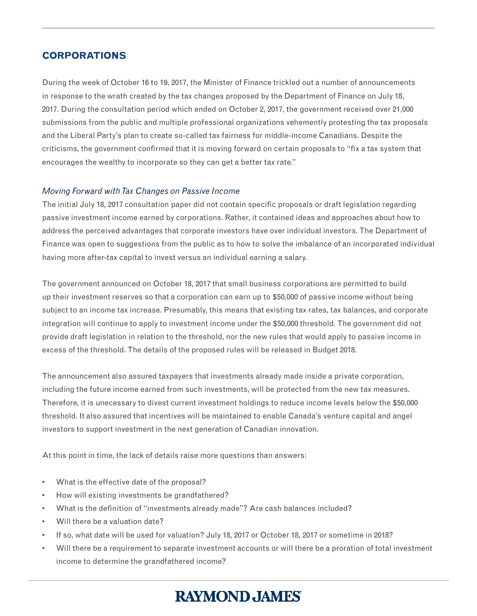### **CORPORATIONS**

During the week of October 16 to 19, 2017, the Minister of Finance trickled out a number of announcements in response to the wrath created by the tax changes proposed by the Department of Finance on July 18, 2017. During the consultation period which ended on October 2, 2017, the government received over 21,000 submissions from the public and multiple professional organizations vehemently protesting the tax proposals and the Liberal Party's plan to create so-called tax fairness for middle-income Canadians. Despite the criticisms, the government confirmed that it is moving forward on certain proposals to "fix a tax system that encourages the wealthy to incorporate so they can get a better tax rate."

#### *Moving Forward with Tax Changes on Passive Income*

The initial July 18, 2017 consultation paper did not contain specific proposals or draft legislation regarding passive investment income earned by corporations. Rather, it contained ideas and approaches about how to address the perceived advantages that corporate investors have over individual investors. The Department of Finance was open to suggestions from the public as to how to solve the imbalance of an incorporated individual having more after-tax capital to invest versus an individual earning a salary.

The government announced on October 18, 2017 that small business corporations are permitted to build up their investment reserves so that a corporation can earn up to \$50,000 of passive income without being subject to an income tax increase. Presumably, this means that existing tax rates, tax balances, and corporate integration will continue to apply to investment income under the \$50,000 threshold. The government did not provide draft legislation in relation to the threshold, nor the new rules that would apply to passive income in excess of the threshold. The details of the proposed rules will be released in Budget 2018.

The announcement also assured taxpayers that investments already made inside a private corporation, including the future income earned from such investments, will be protected from the new tax measures. Therefore, it is unecessary to divest current investment holdings to reduce income levels below the \$50,000 threshold. It also assured that incentives will be maintained to enable Canada's venture capital and angel investors to support investment in the next generation of Canadian innovation.

At this point in time, the lack of details raise more questions than answers:

- What is the effective date of the proposal?
- How will existing investments be grandfathered?
- What is the definition of "investments already made"? Are cash balances included?
- Will there be a valuation date?
- If so, what date will be used for valuation? July 18, 2017 or October 18, 2017 or sometime in 2018?
- Will there be a requirement to separate investment accounts or will there be a proration of total investment income to determine the grandfathered income?

# **RAYMOND, JAMES**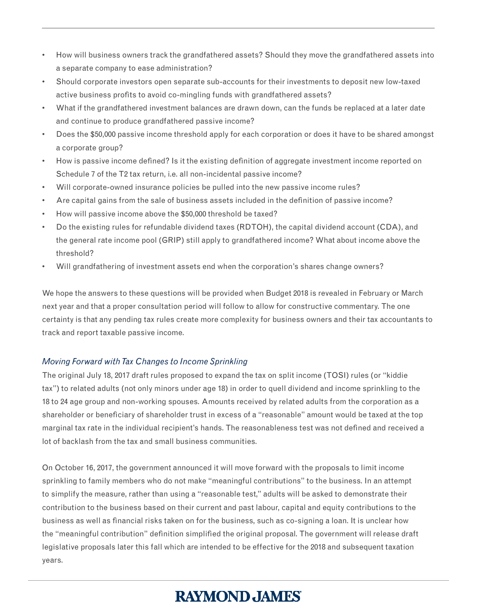- How will business owners track the grandfathered assets? Should they move the grandfathered assets into a separate company to ease administration?
- Should corporate investors open separate sub-accounts for their investments to deposit new low-taxed active business profits to avoid co-mingling funds with grandfathered assets?
- What if the grandfathered investment balances are drawn down, can the funds be replaced at a later date and continue to produce grandfathered passive income?
- Does the \$50,000 passive income threshold apply for each corporation or does it have to be shared amongst a corporate group?
- How is passive income defined? Is it the existing definition of aggregate investment income reported on Schedule 7 of the T2 tax return, i.e. all non-incidental passive income?
- Will corporate-owned insurance policies be pulled into the new passive income rules?
- Are capital gains from the sale of business assets included in the definition of passive income?
- How will passive income above the \$50,000 threshold be taxed?
- Do the existing rules for refundable dividend taxes (RDTOH), the capital dividend account (CDA), and the general rate income pool (GRIP) still apply to grandfathered income? What about income above the threshold?
- Will grandfathering of investment assets end when the corporation's shares change owners?

We hope the answers to these questions will be provided when Budget 2018 is revealed in February or March next year and that a proper consultation period will follow to allow for constructive commentary. The one certainty is that any pending tax rules create more complexity for business owners and their tax accountants to track and report taxable passive income.

#### *Moving Forward with Tax Changes to Income Sprinkling*

The original July 18, 2017 draft rules proposed to expand the tax on split income (TOSI) rules (or "kiddie tax") to related adults (not only minors under age 18) in order to quell dividend and income sprinkling to the 18 to 24 age group and non-working spouses. Amounts received by related adults from the corporation as a shareholder or beneficiary of shareholder trust in excess of a "reasonable" amount would be taxed at the top marginal tax rate in the individual recipient's hands. The reasonableness test was not defined and received a lot of backlash from the tax and small business communities.

On October 16, 2017, the government announced it will move forward with the proposals to limit income sprinkling to family members who do not make "meaningful contributions" to the business. In an attempt to simplify the measure, rather than using a "reasonable test," adults will be asked to demonstrate their contribution to the business based on their current and past labour, capital and equity contributions to the business as well as financial risks taken on for the business, such as co-signing a loan. It is unclear how the "meaningful contribution" definition simplified the original proposal. The government will release draft legislative proposals later this fall which are intended to be effective for the 2018 and subsequent taxation years.

# **RAYMOND, JAMES'**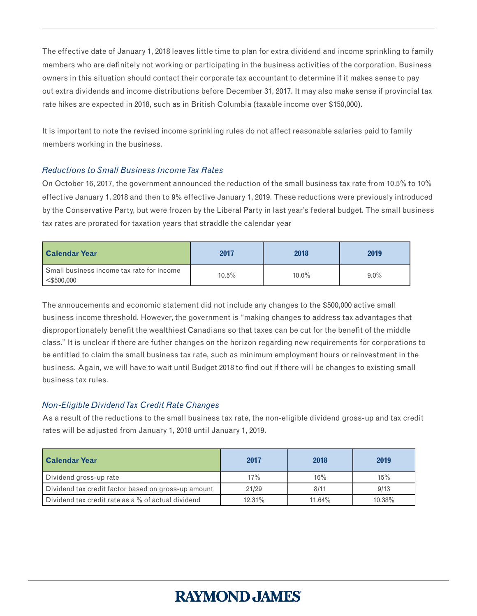The effective date of January 1, 2018 leaves little time to plan for extra dividend and income sprinkling to family members who are definitely not working or participating in the business activities of the corporation. Business owners in this situation should contact their corporate tax accountant to determine if it makes sense to pay out extra dividends and income distributions before December 31, 2017. It may also make sense if provincial tax rate hikes are expected in 2018, such as in British Columbia (taxable income over \$150,000).

It is important to note the revised income sprinkling rules do not affect reasonable salaries paid to family members working in the business.

#### *Reductions to Small Business Income Tax Rates*

On October 16, 2017, the government announced the reduction of the small business tax rate from 10.5% to 10% effective January 1, 2018 and then to 9% effective January 1, 2019. These reductions were previously introduced by the Conservative Party, but were frozen by the Liberal Party in last year's federal budget. The small business tax rates are prorated for taxation years that straddle the calendar year

| <b>Calendar Year</b>                                       | 2017  | 2018     | 2019    |
|------------------------------------------------------------|-------|----------|---------|
| Small business income tax rate for income<br>$<$ \$500,000 | 10.5% | $10.0\%$ | $9.0\%$ |

The annoucements and economic statement did not include any changes to the \$500,000 active small business income threshold. However, the government is "making changes to address tax advantages that disproportionately benefit the wealthiest Canadians so that taxes can be cut for the benefit of the middle class." It is unclear if there are futher changes on the horizon regarding new requirements for corporations to be entitled to claim the small business tax rate, such as minimum employment hours or reinvestment in the business. Again, we will have to wait until Budget 2018 to find out if there will be changes to existing small business tax rules.

#### *Non-Eligible Dividend Tax Credit Rate Changes*

As a result of the reductions to the small business tax rate, the non-eligible dividend gross-up and tax credit rates will be adjusted from January 1, 2018 until January 1, 2019.

| <b>  Calendar Year</b>                              | 2017   | 2018   | 2019   |
|-----------------------------------------------------|--------|--------|--------|
| Dividend gross-up rate                              | 17%    | 16%    | 15%    |
| Dividend tax credit factor based on gross-up amount | 21/29  | 8/11   | 9/13   |
| Dividend tax credit rate as a % of actual dividend  | 12.31% | 11.64% | 10.38% |

# **RAYMOND, JAMES'**